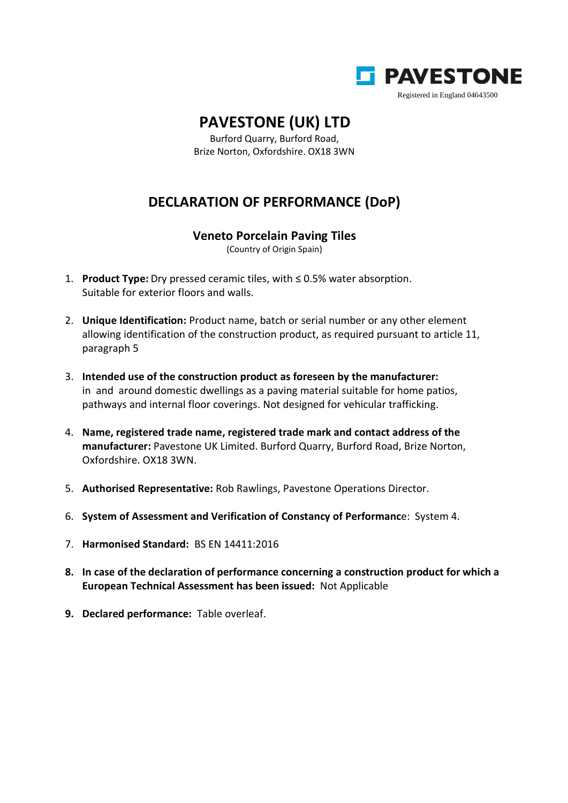

## **PAVESTONE (UK) LTD**

Burford Quarry, Burford Road, Brize Norton, Oxfordshire. OX18 3WN

## **DECLARATION OF PERFORMANCE (DoP)**

## **Veneto Porcelain Paving Tiles**

(Country of Origin Spain)

- 1. **Product Type:** Dry pressed ceramic tiles, with ≤ 0.5% water absorption. Suitable for exterior floors and walls.
- 2. **Unique Identification:** Product name, batch or serial number or any other element allowing identification of the construction product, as required pursuant to article 11, paragraph 5
- 3. **Intended use of the construction product as foreseen by the manufacturer:** in and around domestic dwellings as a paving material suitable for home patios, pathways and internal floor coverings. Not designed for vehicular trafficking.
- 4. **Name, registered trade name, registered trade mark and contact address of the manufacturer:** Pavestone UK Limited. Burford Quarry, Burford Road, Brize Norton, Oxfordshire. OX18 3WN.
- 5. **Authorised Representative:** Rob Rawlings, Pavestone Operations Director.
- 6. **System of Assessment and Verification of Constancy of Performanc**e: System 4.
- 7. **Harmonised Standard:** BS EN 14411:2016
- **8. In case of the declaration of performance concerning a construction product for which a European Technical Assessment has been issued:** Not Applicable
- **9. Declared performance:** Table overleaf.